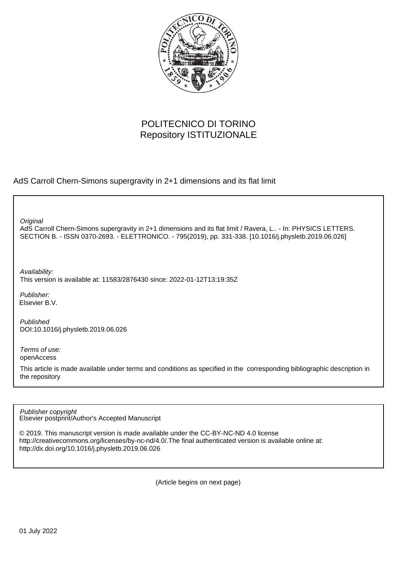

# POLITECNICO DI TORINO Repository ISTITUZIONALE

AdS Carroll Chern-Simons supergravity in 2+1 dimensions and its flat limit

**Original** 

AdS Carroll Chern-Simons supergravity in 2+1 dimensions and its flat limit / Ravera, L.. - In: PHYSICS LETTERS. SECTION B. - ISSN 0370-2693. - ELETTRONICO. - 795(2019), pp. 331-338. [10.1016/j.physletb.2019.06.026]

Availability: This version is available at: 11583/2876430 since: 2022-01-12T13:19:35Z

Publisher: Elsevier B.V.

Published DOI:10.1016/j.physletb.2019.06.026

Terms of use: openAccess

This article is made available under terms and conditions as specified in the corresponding bibliographic description in the repository

Elsevier postprint/Author's Accepted Manuscript Publisher copyright

© 2019. This manuscript version is made available under the CC-BY-NC-ND 4.0 license http://creativecommons.org/licenses/by-nc-nd/4.0/.The final authenticated version is available online at: http://dx.doi.org/10.1016/j.physletb.2019.06.026

(Article begins on next page)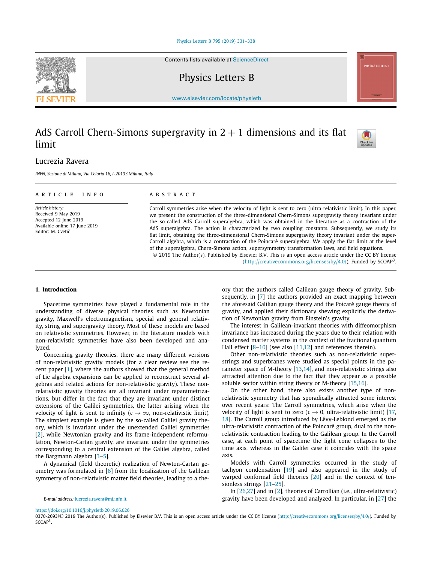#### [Physics Letters B 795 \(2019\) 331–338](https://doi.org/10.1016/j.physletb.2019.06.026)

Contents lists available at [ScienceDirect](http://www.ScienceDirect.com/)

Physics Letters B

[www.elsevier.com/locate/physletb](http://www.elsevier.com/locate/physletb)

## AdS Carroll Chern-Simons supergravity in  $2 + 1$  dimensions and its flat limit

## Lucrezia Ravera

*INFN, Sezione di Milano, Via Celoria 16, I-20133 Milano, Italy*

#### A R T I C L E I N F O A B S T R A C T *Article history:* Received 9 May 2019 Accepted 12 June 2019 Available online 17 June 2019 Editor: M. Cvetič Carroll symmetries arise when the velocity of light is sent to zero (ultra-relativistic limit). In this paper, we present the construction of the three-dimensional Chern-Simons supergravity theory invariant under the so-called AdS Carroll superalgebra, which was obtained in the literature as a contraction of the AdS superalgebra. The action is characterized by two coupling constants. Subsequently, we study its flat limit, obtaining the three-dimensional Chern-Simons supergravity theory invariant under the super-Carroll algebra, which is a contraction of the Poincaré superalgebra. We apply the flat limit at the level

**1. Introduction**

Spacetime symmetries have played a fundamental role in the understanding of diverse physical theories such as Newtonian gravity, Maxwell's electromagnetism, special and general relativity, string and supergravity theory. Most of these models are based on relativistic symmetries. However, in the literature models with non-relativistic symmetries have also been developed and analyzed.

Concerning gravity theories, there are many different versions of non-relativistic gravity models (for a clear review see the recent paper [1], where the authors showed that the general method of Lie algebra expansions can be applied to reconstruct several algebras and related actions for non-relativistic gravity). These nonrelativistic gravity theories are all invariant under reparametrizations, but differ in the fact that they are invariant under distinct extensions of the Galilei symmetries, the latter arising when the velocity of light is sent to infinity ( $c \rightarrow \infty$ , non-relativistic limit). The simplest example is given by the so-called Galilei gravity theory, which is invariant under the unextended Galilei symmetries [2], while Newtonian gravity and its frame-independent reformulation, Newton-Cartan gravity, are invariant under the symmetries corresponding to a central extension of the Galilei algebra, called the Bargmann algebra [3–5].

A dynamical (field theoretic) realization of Newton-Cartan geometry was formulated in  $[6]$  from the localization of the Galilean symmetry of non-relativistic matter field theories, leading to a theory that the authors called Galilean gauge theory of gravity. Subsequently, in [7] the authors provided an exact mapping between the aforesaid Galilian gauge theory and the Poicaré gauge theory of gravity, and applied their dictionary shewing explicitly the derivation of Newtonian gravity from Einstein's gravity.

[\(http://creativecommons.org/licenses/by/4.0/\)](http://creativecommons.org/licenses/by/4.0/). Funded by SCOAP3.

of the superalgebra, Chern-Simons action, supersymmetry transformation laws, and field equations. © 2019 The Author(s). Published by Elsevier B.V. This is an open access article under the CC BY license

> The interest in Galilean-invariant theories with diffeomorphism invariance has increased during the years due to their relation with condensed matter systems in the context of the fractional quantum Hall effect [8–10] (see also [11,12] and references therein).

> Other non-relativistic theories such as non-relativistic superstrings and superbranes were studied as special points in the parameter space of M-theory [13,14], and non-relativistic strings also attracted attention due to the fact that they appear as a possible soluble sector within string theory or M-theory [15,16].

> On the other hand, there also exists another type of nonrelativistic symmetry that has sporadically attracted some interest over recent years: The Carroll symmetries, which arise when the velocity of light is sent to zero ( $c \rightarrow 0$ , ultra-relativistic limit) [17, 18]. The Carroll group introduced by Lévy-Leblond emerged as the ultra-relativistic contraction of the Poincaré group, dual to the nonrelativistic contraction leading to the Galilean group. In the Carroll case, at each point of spacetime the light cone collapses to the time axis, whereas in the Galilei case it coincides with the space axis.

> Models with Carroll symmetries occurred in the study of tachyon condensation [19] and also appeared in the study of warped conformal field theories [20] and in the context of tensionless strings [21–25].

> In [26,27] and in [2], theories of Carrollian (i.e., ultra-relativistic) gravity have been developed and analyzed. In particular, in [27] the







*E-mail address:* [lucrezia.ravera@mi.infn.it.](mailto:lucrezia.ravera@mi.infn.it)

<https://doi.org/10.1016/j.physletb.2019.06.026>

<sup>0370-2693/© 2019</sup> The Author(s). Published by Elsevier B.V. This is an open access article under the CC BY license [\(http://creativecommons.org/licenses/by/4.0/\)](http://creativecommons.org/licenses/by/4.0/). Funded by SCOAP<sup>3</sup>.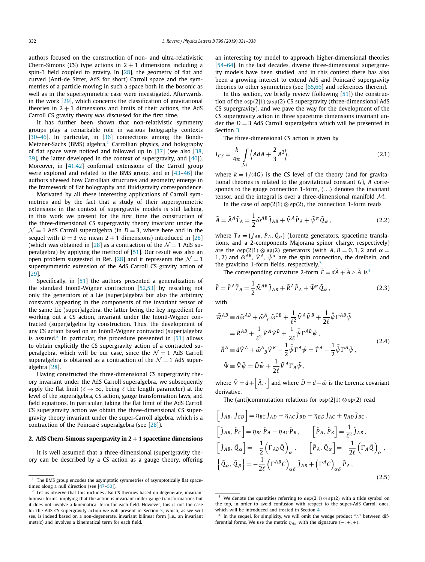authors focused on the construction of non- and ultra-relativistic Chern-Simons (CS) type actions in  $2 + 1$  dimensions including a spin-3 field coupled to gravity. In [28], the geometry of flat and curved (Anti-de Sitter, AdS for short) Carroll space and the symmetries of a particle moving in such a space both in the bosonic as well as in the supersymmetric case were investigated. Afterwards, in the work [29], which concerns the classification of gravitational theories in  $2 + 1$  dimensions and limits of their actions, the AdS Carroll CS gravity theory was discussed for the first time.

It has further been shown that non-relativistic symmetry groups play a remarkable role in various holography contexts [30–46]. In particular, in [36] connections among the Bondi-Metzner-Sachs (BMS) algebra, $1$  Carrollian physics, and holography of flat space were noticed and followed up in [37] (see also [38, 39], the latter developed in the context of supergravity, and [40]). Moreover, in [41,42] conformal extensions of the Carroll group were explored and related to the BMS group, and in [43–46] the authors shewed how Carrollian structures and geometry emerge in the framework of flat holography and fluid/gravity correspondence.

Motivated by all these interesting applications of Carroll symmetries and by the fact that a study of their supersymmetric extensions in the context of supergravity models is still lacking, in this work we present for the first time the construction of the three-dimensional CS supergravity theory invariant under the  $\mathcal{N}=1$  AdS Carroll superalgebra (in  $D=3$ , where here and in the sequel with  $D = 3$  we mean  $2 + 1$  dimensions) introduced in [28] (which was obtained in [28] as a contraction of the  $\mathcal{N} = 1$  AdS superalgebra) by applying the method of [51]. Our result was also an open problem suggested in Ref. [28] and it represents the  $\mathcal{N} = 1$ supersymmetric extension of the AdS Carroll CS gravity action of [29].

Specifically, in [51] the authors presented a generalization of the standard Inönü-Wigner contraction [52,53] by rescaling not only the generators of a Lie (super)algebra but also the arbitrary constants appearing in the components of the invariant tensor of the same Lie (super)algebra, the latter being the key ingredient for working out a CS action, invariant under the Inönü-Wigner contracted (super)algebra by construction. Thus, the development of any CS action based on an Inönü-Wigner contracted (super)algebra is assured.<sup>2</sup> In particular, the procedure presented in [51] allows to obtain explicitly the CS supergravity action of a contracted superalgebra, which will be our case, since the  $\mathcal{N}=1$  AdS Carroll superalgebra is obtained as a contraction of the  $\mathcal{N}=1$  AdS superalgebra [28].

Having constructed the three-dimensional CS supergravity theory invariant under the AdS Carroll superalgebra, we subsequently apply the flat limit ( $\ell \to \infty$ , being  $\ell$  the length parameter) at the level of the superalgebra, CS action, gauge transformation laws, and field equations. In particular, taking the flat limit of the AdS Carroll CS supergravity action we obtain the three-dimensional CS supergravity theory invariant under the super-Carroll algebra, which is a contraction of the Poincaré superalgebra (see [28]).

### **2. AdS Chern-Simons supergravity in 2 + 1 spacetime dimensions**

It is well assumed that a three-dimensional (super)gravity theory can be described by a CS action as a gauge theory, offering an interesting toy model to approach higher-dimensional theories [54–64]. In the last decades, diverse three-dimensional supergravity models have been studied, and in this context there has also been a growing interest to extend AdS and Poincaré supergravity theories to other symmetries (see [65,66] and references therein).

In this section, we briefly review (following  $[51]$ ) the construction of the osp*(*2|1*)*⊗sp*(*2*)* CS supergravity (three-dimensional AdS CS supergravity), and we pave the way for the development of the CS supergravity action in three spacetime dimensions invariant under the  $D = 3$  AdS Carroll superalgebra which will be presented in Section 3.

The three-dimensional CS action is given by

$$
I_{CS} = \frac{k}{4\pi} \int_{\mathcal{M}} \left\langle A dA + \frac{2}{3} A^3 \right\rangle, \tag{2.1}
$$

where  $k = 1/(4G)$  is the CS level of the theory (and for gravitational theories is related to the gravitational constant *G*), *A* corresponds to the gauge connection 1-form,  $\langle \ldots \rangle$  denotes the invariant tensor, and the integral is over a three-dimensional manifold M.

In the case of  $\mathfrak{osp}(2|1) \otimes \mathfrak{sp}(2)$ , the connection 1-form reads

$$
\tilde{A} = \tilde{A}^A \tilde{T}_A = \frac{1}{2} \tilde{\omega}^{AB} \tilde{J}_{AB} + \tilde{V}^A \tilde{P}_A + \tilde{\psi}^\alpha \tilde{Q}_\alpha , \qquad (2.2)
$$

where  $\tilde{T}_A = \{ \tilde{J}_{AB}, \tilde{P}_A, \tilde{Q}_{\alpha} \}$  (Lorentz generators, spacetime translations, and a 2-components Majorana spinor charge, respectively) are the  $\[\exp(2|1) \otimes \[\exp(2)\]$  generators (with  $A, B = 0, 1, 2$  and  $\alpha =$ 1, 2) and  $\tilde{\omega}^{AB}$ ,  $\tilde{V}^{A}$ ,  $\tilde{\psi}^{\alpha}$  are the spin connection, the dreibein, and the gravitino 1-form fields, respectively. $3$ 

The corresponding curvature 2-form  $\tilde{F} = d\tilde{A} + \tilde{A} \wedge \tilde{A}$  is<sup>4</sup>

$$
\tilde{F} = \tilde{F}^A \tilde{T}_A = \frac{1}{2} \tilde{\mathcal{R}}^{AB} \tilde{J}_{AB} + \tilde{R}^A \tilde{P}_A + \tilde{\Psi}^\alpha \tilde{Q}_\alpha , \qquad (2.3)
$$

with

$$
\tilde{\mathcal{R}}^{AB} \equiv d\tilde{\omega}^{AB} + \tilde{\omega}^{A}{}_{C}\tilde{\omega}^{CB} + \frac{1}{\ell^{2}}\tilde{V}^{A}\tilde{V}^{B} + \frac{1}{2\ell}\bar{\tilde{\psi}}\Gamma^{AB}\tilde{\psi}
$$
\n
$$
= \tilde{R}^{AB} + \frac{1}{\ell^{2}}\tilde{V}^{A}\tilde{V}^{B} + \frac{1}{2\ell}\bar{\tilde{\psi}}\Gamma^{AB}\tilde{\psi},
$$
\n
$$
\tilde{R}^{A} \equiv d\tilde{V}^{A} + \tilde{\omega}^{A}{}_{B}\tilde{V}^{B} - \frac{1}{2}\bar{\tilde{\psi}}\Gamma^{A}\tilde{\psi} = \tilde{T}^{A} - \frac{1}{2}\bar{\tilde{\psi}}\Gamma^{A}\tilde{\psi},
$$
\n
$$
\tilde{\Psi} \equiv \tilde{\nabla}\tilde{\psi} = \tilde{D}\tilde{\psi} + \frac{1}{2\ell}\tilde{V}^{A}\Gamma_{A}\tilde{\psi},
$$
\n(2.4)

where  $\tilde{\nabla} = d + [\tilde{A}, \cdot]$  and where  $\tilde{D} = d + \tilde{\omega}$  is the Lorentz covariant derivative.

The (anti)commutation relations for osp*(*2|1*)* ⊗ sp*(*2*)* read

$$
\begin{aligned}\n\left[\tilde{J}_{AB}, \tilde{J}_{CD}\right] &= \eta_{BC} \tilde{J}_{AD} - \eta_{AC} \tilde{J}_{BD} - \eta_{BD} \tilde{J}_{AC} + \eta_{AD} \tilde{J}_{BC} \,, \\
\left[\tilde{J}_{AB}, \tilde{P}_C\right] &= \eta_{BC} \tilde{P}_A - \eta_{AC} \tilde{P}_B \,, \qquad \left[\tilde{P}_A, \tilde{P}_B\right] = \frac{1}{\ell^2} \tilde{J}_{AB} \,, \\
\left[\tilde{J}_{AB}, \tilde{Q}_\alpha\right] &= -\frac{1}{2} \left(\Gamma_{AB} \tilde{Q}\right)_\alpha \,, \qquad \left[\tilde{P}_A, \tilde{Q}_\alpha\right] = -\frac{1}{2\ell} \left(\Gamma_A \tilde{Q}\right)_\alpha \,, \\
\left\{\tilde{Q}_\alpha, \tilde{Q}_\beta\right\} &= -\frac{1}{2\ell} \left(\Gamma^{AB} C\right)_{\alpha\beta} \tilde{J}_{AB} + \left(\Gamma^A C\right)_{\alpha\beta} \tilde{P}_A \,,\n\end{aligned} \tag{2.5}
$$

 $1$  The BMS group encodes the asymptotic symmetries of asymptotically flat spacetimes along a null direction (see [47–50]).

<sup>&</sup>lt;sup>2</sup> Let us observe that this includes also CS theories based on degenerate, invariant bilinear forms, implying that the action is invariant under gauge transformations but it does not involve a kinematical term for each field. However, this is not the case for the AdS CS supergravity action we will present in Section 3, which, as we will see, is indeed based on a non-degenerate, invariant bilinear form (i.e., an invariant metric) and involves a kinematical term for each field.

<sup>3</sup> We denote the quantities referring to osp*(*2|1*)* ⊗ sp*(*2*)* with a tilde symbol on the top, in order to avoid confusion with respect to the super-AdS Carroll ones, which will be introduced and treated in Section 4.

In the sequel, for simplicity, we will omit the wedge product "∧" between differential forms. We use the metric  $\eta_{AB}$  with the signature  $(-, +, +)$ .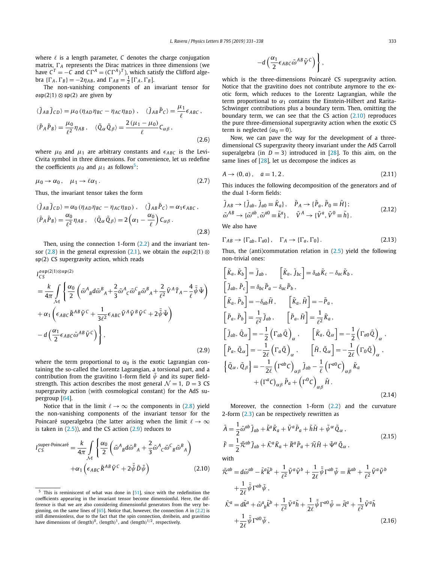where  $\ell$  is a length parameter,  $C$  denotes the charge conjugation matrix,  $\Gamma_A$  represents the Dirac matrices in three dimensions (we have  $C^{T} = -C$  and  $C\Gamma^{A} = (C\Gamma^{A})^{T}$ , which satisfy the Clifford algebra  $\{\Gamma_A, \Gamma_B\} = -2\eta_{AB}$ , and  $\Gamma_{AB} = \frac{1}{2} [\Gamma_A, \Gamma_B]$ .

The non-vanishing components of an invariant tensor for  $\mathfrak{osp}(2|1) \otimes \mathfrak{sp}(2)$  are given by

$$
\langle \tilde{J}_{AB}\tilde{J}_{CD}\rangle = \mu_0 \left(\eta_{AD}\eta_{BC} - \eta_{AC}\eta_{BD}\right), \quad \langle \tilde{J}_{AB}\tilde{P}_C\rangle = \frac{\mu_1}{\ell} \epsilon_{ABC},
$$
  

$$
\langle \tilde{P}_A\tilde{P}_B\rangle = \frac{\mu_0}{\ell^2} \eta_{AB}, \quad \langle \tilde{Q}_\alpha \tilde{Q}_\beta\rangle = \frac{2\left(\mu_1 - \mu_0\right)}{\ell} C_{\alpha\beta},
$$
(2.6)

where  $\mu_0$  and  $\mu_1$  are arbitrary constants and  $\epsilon_{ABC}$  is the Levi-Civita symbol in three dimensions. For convenience, let us redefine the coefficients  $\mu_0$  and  $\mu_1$  as follows<sup>5</sup>:

$$
\mu_0 \to \alpha_0, \quad \mu_1 \to \ell \alpha_1. \tag{2.7}
$$

Thus, the invariant tensor takes the form

$$
\langle \tilde{J}_{AB}\tilde{J}_{CD}\rangle = \alpha_0 \left(\eta_{AD}\eta_{BC} - \eta_{AC}\eta_{BD}\right), \quad \langle \tilde{J}_{AB}\tilde{P}_C\rangle = \alpha_1 \epsilon_{ABC},
$$
  

$$
\langle \tilde{P}_A\tilde{P}_B\rangle = \frac{\alpha_0}{\ell^2}\eta_{AB}, \quad \langle \tilde{Q}_\alpha \tilde{Q}_\beta\rangle = 2\left(\alpha_1 - \frac{\alpha_0}{\ell}\right)C_{\alpha\beta}.
$$
  
(2.8)

Then, using the connection 1-form (2.2) and the invariant tensor (2.8) in the general expression (2.1), we obtain the  $\mathfrak{osp}(2|1) \otimes$ sp*(*2*)* CS supergravity action, which reads

$$
I_{CS}^{\text{osp}(2|1)\otimes\text{sp}(2)} = \frac{k}{4\pi} \int_{\mathcal{M}} \left\{ \frac{\alpha_0}{2} \left( \tilde{\omega}^A{}_B d\tilde{\omega}^B{}_A + \frac{2}{3} \tilde{\omega}^A{}_C \tilde{\omega}^C{}_B \tilde{\omega}^B{}_A + \frac{2}{\ell^2} \tilde{V}^A \tilde{T}_A - \frac{4}{\ell} \bar{\tilde{\psi}} \tilde{\Psi} \right) \right. \\
\left. + \alpha_1 \left( \epsilon_{ABC} \tilde{R}^{AB} \tilde{V}^C + \frac{1}{3\ell^2} \epsilon_{ABC} \tilde{V}^A \tilde{V}^B \tilde{V}^C + 2 \bar{\tilde{\psi}} \tilde{\Psi} \right) \right. \\
\left. - d \left( \frac{\alpha_1}{2} \epsilon_{ABC} \tilde{\omega}^{AB} \tilde{V}^C \right) \right\},
$$
\n(2.9)

where the term proportional to  $\alpha_0$  is the exotic Lagrangian containing the so-called the Lorentz Lagrangian, a torsional part, and a contribution from the gravitino 1-form field  $\tilde{\psi}$  and its super fieldstrength. This action describes the most general  $\mathcal{N} = 1$ ,  $D = 3$  CS supergravity action (with cosmological constant) for the AdS supergroup [64].

Notice that in the limit  $\ell \to \infty$  the components in (2.8) yield the non-vanishing components of the invariant tensor for the Poincaré superalgebra (the latter arising when the limit  $\ell \to \infty$ is taken in  $(2.5)$ ), and the CS action  $(2.9)$  reduces to

$$
I_{CS}^{\text{super-Poincaré}} = \frac{k}{4\pi} \int_{\mathcal{M}} \left\{ \frac{\alpha_0}{2} \left( \tilde{\omega}^A{}_B d\tilde{\omega}^B{}_A + \frac{2}{3} \tilde{\omega}^A{}_C \tilde{\omega}^C{}_B \tilde{\omega}^B{}_A \right) \right. \\ \left. + \alpha_1 \left( \epsilon_{ABC} \tilde{R}^{AB} \tilde{V}^C + 2 \bar{\tilde{\psi}} \tilde{D} \tilde{\psi} \right) \right\} \tag{2.10}
$$

$$
-d\left(\frac{\alpha_1}{2}\epsilon_{ABC}\tilde{\omega}^{AB}\tilde{V}^C\right)\Bigg\}\,,
$$

which is the three-dimensions Poincaré CS supergravity action. Notice that the gravitino does not contribute anymore to the exotic form, which reduces to the Lorentz Lagrangian, while the term proportional to  $\alpha_1$  contains the Einstein-Hilbert and Rarita-Schwinger contributions plus a boundary term. Then, omitting the boundary term, we can see that the CS action  $(2.10)$  reproduces the pure three-dimensional supergravity action when the exotic CS term is neglected ( $\alpha_0 = 0$ ).

Now, we can pave the way for the development of a threedimensional CS supergravity theory invariant under the AdS Carroll superalgebra (in  $D = 3$ ) introduced in [28]. To this aim, on the same lines of [28], let us decompose the indices as

$$
A \to (0, a), \quad a = 1, 2. \tag{2.11}
$$

This induces the following decomposition of the generators and of the dual 1-form fields:

$$
\tilde{J}_{AB} \rightarrow \{\tilde{J}_{ab}, \tilde{J}_{a0} \equiv \tilde{K}_a\}, \quad \tilde{P}_A \rightarrow \{\tilde{P}_a, \tilde{P}_0 \equiv \tilde{H}\};\tilde{\omega}^{AB} \rightarrow \{\tilde{\omega}^{ab}, \tilde{\omega}^{a0} \equiv \tilde{k}^a\}, \quad \tilde{V}^A \rightarrow \{\tilde{V}^a, \tilde{V}^0 \equiv \tilde{h}\}.
$$
\n(2.12)

We also have

$$
\Gamma_{AB} \to \{\Gamma_{ab}, \Gamma_{a0}\}, \quad \Gamma_A \to \{\Gamma_a, \Gamma_0\}.
$$
 (2.13)

Thus, the (anti)commutation relation in  $(2.5)$  yield the following non-trivial ones:

$$
\begin{aligned}\n\left[\tilde{K}_a, \tilde{K}_b\right] &= \tilde{J}_{ab} \,, \qquad \left[\tilde{K}_a, \tilde{J}_{bc}\right] = \delta_{ab} \tilde{K}_c - \delta_{ac} \tilde{K}_b \,, \\
\left[\tilde{J}_{ab}, \tilde{P}_c\right] &= \delta_{bc} \tilde{P}_a - \delta_{ac} \tilde{P}_b \,, \\
\left[\tilde{K}_a, \tilde{P}_b\right] &= -\delta_{ab} \tilde{H} \,, \qquad \left[\tilde{K}_a, \tilde{H}\right] = -\tilde{P}_a \,, \\
\left[\tilde{P}_a, \tilde{P}_b\right] &= \frac{1}{\ell^2} \tilde{J}_{ab} \,, \qquad \left[\tilde{P}_a, \tilde{H}\right] = \frac{1}{\ell^2} \tilde{K}_a \,, \\
\left[\tilde{J}_{ab}, \tilde{Q}_{\alpha}\right] &= -\frac{1}{2} \left(\Gamma_{ab} \tilde{Q}\right)_{\alpha} \,, \qquad \left[\tilde{K}_a, \tilde{Q}_{\alpha}\right] = -\frac{1}{2} \left(\Gamma_{a0} \tilde{Q}\right)_{\alpha} \,, \\
\left[\tilde{P}_a, \tilde{Q}_{\alpha}\right] &= -\frac{1}{2\ell} \left(\Gamma_a \tilde{Q}\right)_{\alpha} \,, \qquad \left[\tilde{H}, \tilde{Q}_{\alpha}\right] = -\frac{1}{2\ell} \left(\Gamma_0 \tilde{Q}\right)_{\alpha} \,, \\
\left\{\tilde{Q}_{\alpha}, \tilde{Q}_{\beta}\right\} &= -\frac{1}{2\ell} \left(\Gamma^{ab} C\right)_{\alpha\beta} \tilde{J}_{ab} - \frac{1}{\ell} \left(\Gamma^{a0} C\right)_{\alpha\beta} \tilde{K}_a \right. \\
&\quad + \left(\Gamma^a C\right)_{\alpha\beta} \tilde{P}_a + \left(\Gamma^0 C\right)_{\alpha\beta} \tilde{H} \,. \n\end{aligned} \tag{2.14}
$$

Moreover, the connection 1-form (2.2) and the curvature 2-form (2.3) can be respectively rewritten as

$$
\tilde{A} = \frac{1}{2} \tilde{\omega}^{ab} \tilde{J}_{ab} + \tilde{k}^a \tilde{K}_a + \tilde{V}^a \tilde{P}_a + \tilde{h} \tilde{H} + \tilde{\psi}^\alpha \tilde{Q}_\alpha ,
$$
\n
$$
\tilde{F} = \frac{1}{2} \tilde{\mathcal{R}}^{ab} \tilde{J}_{ab} + \tilde{\mathcal{K}}^a \tilde{K}_a + \tilde{R}^a \tilde{P}_a + \tilde{\mathcal{H}} \tilde{H} + \tilde{\Psi}^\alpha \tilde{Q}_\alpha ,
$$
\n(2.15)

with

$$
\tilde{\mathcal{R}}^{ab} = d\tilde{\omega}^{ab} - \tilde{k}^{a}\tilde{k}^{b} + \frac{1}{\ell^{2}}\tilde{V}^{a}\tilde{V}^{b} + \frac{1}{2\ell}\bar{\tilde{\psi}}\Gamma^{ab}\tilde{\psi} = \tilde{R}^{ab} + \frac{1}{\ell^{2}}\tilde{V}^{a}\tilde{V}^{b} \n+ \frac{1}{2\ell}\bar{\tilde{\psi}}\Gamma^{ab}\tilde{\psi}, \n\tilde{\mathcal{K}}^{a} = d\tilde{k}^{a} + \tilde{\omega}^{a}{}_{b}\tilde{k}^{b} + \frac{1}{\ell^{2}}\tilde{V}^{a}\tilde{h} + \frac{1}{2\ell}\bar{\tilde{\psi}}\Gamma^{a0}\tilde{\psi} = \tilde{\mathfrak{K}}^{a} + \frac{1}{\ell^{2}}\tilde{V}^{a}\tilde{h} \n+ \frac{1}{2\ell}\bar{\tilde{\psi}}\Gamma^{a0}\tilde{\psi},
$$
\n(2.16)

 $5$  This is reminiscent of what was done in [51], since with the redefinition the coefficients appearing in the invariant tensor become dimensionful. Here, the difference is that we are also considering dimensionful generators from the very beginning, on the same lines of [65]. Notice that, however, the connection *A* in (2.2) is still dimensionless, due to the fact that the spin connection, dreibein, and gravitino have dimensions of *(*length*)*0, *(*length*)*1, and *(*length*)*<sup>1</sup>*/*2, respectively.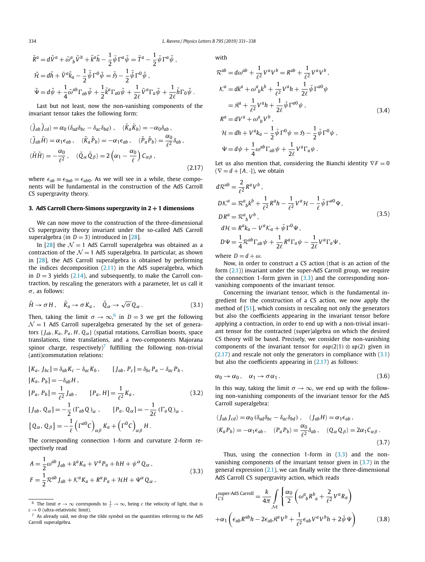$$
\tilde{R}^a = d\tilde{V}^a + \tilde{\omega}_{b}^a \tilde{V}^b + \tilde{k}^a \tilde{h} - \frac{1}{2} \bar{\psi} \Gamma^a \tilde{\psi} = \tilde{T}^a - \frac{1}{2} \bar{\psi} \Gamma^a \tilde{\psi} ,
$$
  

$$
\tilde{\mathcal{H}} = d\tilde{h} + \tilde{V}^a \tilde{k}_a - \frac{1}{2} \bar{\tilde{\psi}} \Gamma^0 \tilde{\psi} = \tilde{\mathfrak{H}} - \frac{1}{2} \bar{\tilde{\psi}} \Gamma^0 \tilde{\psi} ,
$$
  

$$
\tilde{\Psi} = d\tilde{\psi} + \frac{1}{4} \tilde{\omega}^{ab} \Gamma_{ab} \tilde{\psi} + \frac{1}{2} \tilde{k}^a \Gamma_{a0} \tilde{\psi} + \frac{1}{2\ell} \tilde{V}^a \Gamma_a \tilde{\psi} + \frac{1}{2\ell} \tilde{h} \Gamma_0 \tilde{\psi} .
$$

Last but not least, now the non-vanishing components of the invariant tensor takes the following form:

$$
\langle \tilde{J}_{ab} \tilde{J}_{cd} \rangle = \alpha_0 \left( \delta_{ad} \delta_{bc} - \delta_{ac} \delta_{bd} \right) , \quad \langle \tilde{K}_a \tilde{K}_b \rangle = -\alpha_0 \delta_{ab} ,
$$
  

$$
\langle \tilde{J}_{ab} \tilde{H} \rangle = \alpha_1 \epsilon_{ab} , \quad \langle \tilde{K}_a \tilde{P}_b \rangle = -\alpha_1 \epsilon_{ab} , \quad \langle \tilde{P}_a \tilde{P}_b \rangle = \frac{\alpha_0}{\ell^2} \delta_{ab} ,
$$
  

$$
\langle \tilde{H} \tilde{H} \rangle = -\frac{\alpha_0}{\ell^2} , \quad \langle \tilde{Q}_{\alpha} \tilde{Q}_{\beta} \rangle = 2 \left( \alpha_1 - \frac{\alpha_0}{\ell} \right) C_{\alpha\beta} ,
$$
  
(2.17)

where  $\epsilon_{ab} \equiv \epsilon_{0ab} = \epsilon_{ab0}$ . As we will see in a while, these components will be fundamental in the construction of the AdS Carroll CS supergravity theory.

### **3. AdS Carroll Chern-Simons supergravity in 2 + 1 dimensions**

We can now move to the construction of the three-dimensional CS supergravity theory invariant under the so-called AdS Carroll superalgebra (in  $D = 3$ ) introduced in [28].

In [28] the  $\mathcal{N} = 1$  AdS Carroll superalgebra was obtained as a contraction of the  $\mathcal{N} = 1$  AdS superalgebra. In particular, as shown in [28], the AdS Carroll superalgebra is obtained by performing the indices decomposition  $(2.11)$  in the AdS superalgebra, which in  $D = 3$  yields (2.14), and subsequently, to make the Carroll contraction, by rescaling the generators with a parameter, let us call it *σ* , as follows:

$$
\tilde{H} \to \sigma H, \quad \tilde{K}_a \to \sigma K_a, \quad \tilde{Q}_\alpha \to \sqrt{\sigma} Q_\alpha. \tag{3.1}
$$

Then, taking the limit  $\sigma \to \infty$ , in  $D=3$  we get the following  $\mathcal{N}=1$  AdS Carroll superalgebra generated by the set of generators  $\{J_{ab}, K_a, P_a, H, Q_\alpha\}$  (spatial rotations, Carrollian boosts, space translations, time translations, and a two-components Majorana spinor charge, respectively)<sup>7</sup> fulfilling the following non-trivial (anti)commutation relations:

$$
[K_a, J_{bc}] = \delta_{ab} K_c - \delta_{ac} K_b, \qquad [J_{ab}, P_c] = \delta_{bc} P_a - \delta_{ac} P_b,
$$
  
\n
$$
[K_a, P_b] = -\delta_{ab} H,
$$
  
\n
$$
[P_a, P_b] = \frac{1}{\ell^2} J_{ab}, \qquad [P_a, H] = \frac{1}{\ell^2} K_a,
$$
  
\n
$$
[J_{ab}, Q_\alpha] = -\frac{1}{2} (\Gamma_{ab} Q)_\alpha , \qquad [P_a, Q_\alpha] = -\frac{1}{2\ell} (\Gamma_a Q)_\alpha ,
$$
  
\n
$$
\{Q_\alpha, Q_\beta\} = -\frac{1}{\ell} (\Gamma^{a0} C)_{\alpha\beta} K_a + (\Gamma^0 C)_{\alpha\beta} H.
$$
  
\n(3.2)

The corresponding connection 1-form and curvature 2-form respectively read

$$
A = \frac{1}{2}\omega^{ab} J_{ab} + k^a K_a + V^a P_a + hH + \psi^\alpha Q_\alpha ,
$$
  
\n
$$
F = \frac{1}{2}\mathcal{R}^{ab} J_{ab} + \mathcal{K}^a K_a + R^a P_a + \mathcal{H}H + \Psi^\alpha Q_\alpha ,
$$
\n(3.3)

with

$$
\mathcal{R}^{ab} = d\omega^{ab} + \frac{1}{\ell^2} V^a V^b = R^{ab} + \frac{1}{\ell^2} V^a V^b,
$$
  
\n
$$
\mathcal{K}^a = dk^a + \omega^a{}_b k^b + \frac{1}{\ell^2} V^a h + \frac{1}{2\ell} \bar{\psi} \Gamma^{a0} \psi
$$
  
\n
$$
= \mathcal{R}^a + \frac{1}{\ell^2} V^a h + \frac{1}{2\ell} \bar{\psi} \Gamma^{a0} \psi,
$$
  
\n
$$
\mathcal{R}^a = dV^a + \omega^a{}_b V^b,
$$
  
\n
$$
\mathcal{H} = dh + V^a k_a - \frac{1}{2} \bar{\psi} \Gamma^0 \psi = \mathfrak{H} - \frac{1}{2} \bar{\psi} \Gamma^0 \psi,
$$
  
\n
$$
\Psi = d\psi + \frac{1}{4} \omega^{ab} \Gamma_{ab} \psi + \frac{1}{2\ell} V^a \Gamma_a \psi.
$$
\n(3.4)

Let us also mention that, considering the Bianchi identity  $\nabla F = 0$  $(\nabla = d + [A, \cdot])$ , we obtain

$$
d\mathcal{R}^{ab} = \frac{2}{\ell^2} R^a V^b ,
$$
  
\n
$$
D\mathcal{K}^a = \mathcal{R}^a{}_b k^b + \frac{1}{\ell^2} R^a h - \frac{1}{\ell^2} V^a \mathcal{H} - \frac{1}{\ell} \bar{\psi} \Gamma^{a0} \Psi ,
$$
  
\n
$$
D R^a = \mathcal{R}^a{}_b V^b ,
$$
  
\n
$$
d\mathcal{H} = R^a k_a - V^a \mathcal{K}_a + \bar{\psi} \Gamma^0 \Psi ,
$$
  
\n
$$
D \Psi = \frac{1}{4} \mathcal{R}^{ab} \Gamma_{ab} \psi + \frac{1}{2\ell} R^a \Gamma_a \psi - \frac{1}{2\ell} V^a \Gamma_a \Psi ,
$$
\n(3.5)

where  $D = d + \omega$ .

Now, in order to construct a CS action (that is an action of the form (2.1)) invariant under the super-AdS Carroll group, we require the connection 1-form given in  $(3.3)$  and the corresponding nonvanishing components of the invariant tensor.

Concerning the invariant tensor, which is the fundamental ingredient for the construction of a CS action, we now apply the method of [51], which consists in rescaling not only the generators but also the coefficients appearing in the invariant tensor before applying a contraction, in order to end up with a non-trivial invariant tensor for the contracted (super)algebra on which the desired CS theory will be based. Precisely, we consider the non-vanishing components of the invariant tensor for  $\[\exp(2|1) \otimes \[\exp(2)]\]$  given in (2.17) and rescale not only the generators in compliance with (3.1) but also the coefficients appearing in (2.17) as follows:

$$
\alpha_0 \to \alpha_0, \quad \alpha_1 \to \sigma \alpha_1. \tag{3.6}
$$

In this way, taking the limit  $\sigma \rightarrow \infty$ , we end up with the following non-vanishing components of the invariant tensor for the AdS Carroll superalgebra:

$$
\langle J_{ab} J_{cd} \rangle = \alpha_0 \left( \delta_{ad} \delta_{bc} - \delta_{ac} \delta_{bd} \right) , \quad \langle J_{ab} H \rangle = \alpha_1 \epsilon_{ab} ,
$$
  

$$
\langle K_a P_b \rangle = -\alpha_1 \epsilon_{ab} , \quad \langle P_a P_b \rangle = \frac{\alpha_0}{\ell^2} \delta_{ab} , \quad \langle Q_\alpha Q_\beta \rangle = 2\alpha_1 C_{\alpha\beta} .
$$
  
(3.7)

Thus, using the connection 1-form in  $(3.3)$  and the nonvanishing components of the invariant tensor given in  $(3.7)$  in the general expression (2.1), we can finally write the three-dimensional AdS Carroll CS supergravity action, which reads

$$
I_{CS}^{\text{super-AdS Carroll}} = \frac{k}{4\pi} \int_{\mathcal{M}} \left\{ \frac{\alpha_0}{2} \left( \omega^a{}_b R^b{}_a + \frac{2}{\ell^2} V^a R_a \right) \right. \\
\left. + \alpha_1 \left( \epsilon_{ab} R^{ab} h - 2 \epsilon_{ab} \mathfrak{K}^a V^b + \frac{1}{\ell^2} \epsilon_{ab} V^a V^b h + 2 \bar{\psi} \Psi \right) \right\} \tag{3.8}
$$

<sup>&</sup>lt;sup>6</sup> The limit *σ* → ∞ corresponds to  $\frac{1}{c}$  → ∞, being *c* the velocity of light, that is  $c \rightarrow 0$  (ultra-relativistic limit).

 $7$  As already said, we drop the tilde symbol on the quantities referring to the AdS Carroll superalgebra.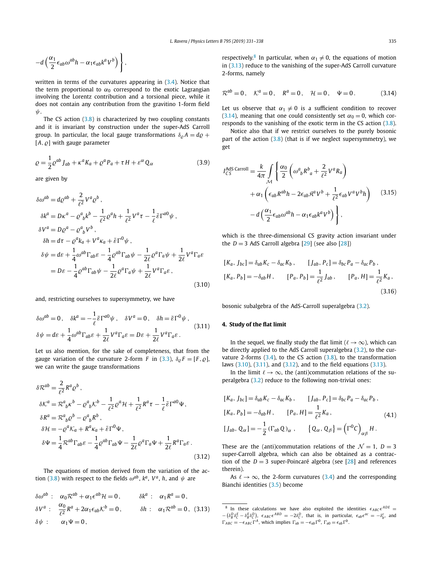$$
-d\left(\frac{\alpha_1}{2}\epsilon_{ab}\omega^{ab}h-\alpha_1\epsilon_{ab}k^aV^b\right)\Bigg\}\,,
$$

written in terms of the curvatures appearing in (3.4). Notice that the term proportional to  $\alpha_0$  correspond to the exotic Lagrangian involving the Lorentz contribution and a torsional piece, while it does not contain any contribution from the gravitino 1-form field *ψ*.

The CS action (3.8) is characterized by two coupling constants and it is invariant by construction under the super-AdS Carroll group. In particular, the local gauge transformations  $\delta_{\rho}A = d\varrho +$  $[A, \varrho]$  with gauge parameter

$$
\varrho = \frac{1}{2} \varrho^{ab} J_{ab} + \kappa^a K_a + \varrho^a P_a + \tau H + \varepsilon^\alpha Q_\alpha \tag{3.9}
$$

are given by

$$
\delta\omega^{ab} = d\varrho^{ab} + \frac{2}{\ell^2} V^a \varrho^b ,
$$
  
\n
$$
\delta k^a = D\kappa^a - \varrho^a_{\ b} k^b - \frac{1}{\ell^2} \varrho^a h + \frac{1}{\ell^2} V^a \tau - \frac{1}{\ell} \bar{\varepsilon} \Gamma^{a0} \psi ,
$$
  
\n
$$
\delta V^a = D\varrho^a - \varrho^a_{\ b} V^b ,
$$
  
\n
$$
\delta h = d\tau - \varrho^a k_a + V^a \kappa_a + \bar{\varepsilon} \Gamma^0 \psi ,
$$
  
\n
$$
\delta \psi = d\varepsilon + \frac{1}{4} \omega^{ab} \Gamma_{ab} \varepsilon - \frac{1}{4} \varrho^{ab} \Gamma_{ab} \psi - \frac{1}{2\ell} \varrho^a \Gamma_a \psi + \frac{1}{2\ell} V^a \Gamma_a \varepsilon
$$
  
\n
$$
= D\varepsilon - \frac{1}{4} \varrho^{ab} \Gamma_{ab} \psi - \frac{1}{2\ell} \varrho^a \Gamma_a \psi + \frac{1}{2\ell} V^a \Gamma_a \varepsilon ,
$$
\n(3.10)

and, restricting ourselves to supersymmetry, we have

$$
\delta\omega^{ab} = 0, \quad \delta k^a = -\frac{1}{\ell} \bar{\varepsilon} \Gamma^{a0} \psi, \quad \delta V^a = 0, \quad \delta h = \bar{\varepsilon} \Gamma^0 \psi,
$$
  

$$
\delta \psi = d\varepsilon + \frac{1}{4} \omega^{ab} \Gamma_{ab} \varepsilon + \frac{1}{2\ell} V^a \Gamma_a \varepsilon = D\varepsilon + \frac{1}{2\ell} V^a \Gamma_a \varepsilon.
$$
 (3.11)

Let us also mention, for the sake of completeness, that from the gauge variation of the curvature 2-form *F* in (3.3),  $\delta_{\varrho} F = [F, \varrho]$ , we can write the gauge transformations

$$
\delta \mathcal{R}^{ab} = \frac{2}{\ell^2} R^a \varrho^b ,
$$
  
\n
$$
\delta \mathcal{K}^a = \mathcal{R}^a{}_b \kappa^b - \varrho^a{}_b \kappa^b - \frac{1}{\ell^2} \varrho^a \mathcal{H} + \frac{1}{\ell^2} R^a \tau - \frac{1}{\ell} \bar{\epsilon} \Gamma^{a0} \Psi ,
$$
  
\n
$$
\delta R^a = \mathcal{R}^a{}_b \varrho^b - \varrho^a{}_b R^b ,
$$
  
\n
$$
\delta \mathcal{H} = -\varrho^a \mathcal{K}_a + R^a \kappa_a + \bar{\epsilon} \Gamma^0 \Psi ,
$$
  
\n
$$
\delta \Psi = \frac{1}{4} \mathcal{R}^{ab} \Gamma_{ab} \varepsilon - \frac{1}{4} \varrho^{ab} \Gamma_{ab} \Psi - \frac{1}{2 \ell} \varrho^a \Gamma_a \Psi + \frac{1}{2 \ell} R^a \Gamma_a \varepsilon .
$$
\n(3.12)

The equations of motion derived from the variation of the action (3.8) with respect to the fields  $\omega^{ab}$ ,  $k^a$ ,  $V^a$ , *h*, and  $\psi$  are

$$
\delta\omega^{ab} : \alpha_0 \mathcal{R}^{ab} + \alpha_1 \epsilon^{ab} \mathcal{H} = 0, \qquad \delta k^a : \alpha_1 R^a = 0,
$$
  
\n
$$
\delta V^a : \frac{\alpha_0}{\ell^2} R^a + 2\alpha_1 \epsilon_{ab} \mathcal{K}^b = 0, \qquad \delta h : \alpha_1 \mathcal{R}^{ab} = 0, \quad (3.13)
$$
  
\n
$$
\delta \psi : \alpha_1 \Psi = 0,
$$

respectively.<sup>8</sup> In particular, when  $\alpha_1 \neq 0$ , the equations of motion in (3.13) reduce to the vanishing of the super-AdS Carroll curvature 2-forms, namely

$$
\mathcal{R}^{ab} = 0
$$
,  $\mathcal{K}^a = 0$ ,  $\mathcal{R}^a = 0$ ,  $\mathcal{H} = 0$ ,  $\Psi = 0$ . (3.14)

Let us observe that  $\alpha_1 \neq 0$  is a sufficient condition to recover (3.14), meaning that one could consistently set  $\alpha_0 = 0$ , which corresponds to the vanishing of the exotic term in the CS action (3.8).

Notice also that if we restrict ourselves to the purely bosonic part of the action  $(3.8)$  (that is if we neglect supersymmetry), we get

$$
I_{CS}^{AdS \text{ Carroll}} = \frac{k}{4\pi} \int_{\mathcal{M}} \left\{ \frac{\alpha_0}{2} \left( \omega^a{}_b R^b{}_a + \frac{2}{\ell^2} V^a R_a \right) \right. \\
\left. + \alpha_1 \left( \epsilon_{ab} R^{ab} h - 2 \epsilon_{ab} \mathfrak{K}^a V^b + \frac{1}{\ell^2} \epsilon_{ab} V^a V^b h \right) \right. \\
\left. - d \left( \frac{\alpha_1}{2} \epsilon_{ab} \omega^{ab} h - \alpha_1 \epsilon_{ab} k^a V^b \right) \right\},
$$
\n(3.15)

which is the three-dimensional CS gravity action invariant under the  $D = 3$  AdS Carroll algebra  $[29]$  (see also  $[28]$ )

$$
[K_a, J_{bc}] = \delta_{ab} K_c - \delta_{ac} K_b, \qquad [J_{ab}, P_c] = \delta_{bc} P_a - \delta_{ac} P_b,
$$
  
\n
$$
[K_a, P_b] = -\delta_{ab} H, \qquad [P_a, P_b] = \frac{1}{\ell^2} J_{ab}, \qquad [P_a, H] = \frac{1}{\ell^2} K_a,
$$
  
\n(3.16)

bosonic subalgebra of the AdS-Carroll superalgebra (3.2).

#### **4. Study of the flat limit**

In the sequel, we finally study the flat limit ( $\ell \to \infty$ ), which can be directly applied to the AdS Carroll superalgebra (3.2), to the curvature 2-forms  $(3.4)$ , to the CS action  $(3.8)$ , to the transformation laws (3.10), (3.11), and (3.12), and to the field equations (3.13).

In the limit  $\ell \to \infty$ , the (anti)commutation relations of the superalgebra (3.2) reduce to the following non-trivial ones:

$$
[K_a, J_{bc}] = \delta_{ab} K_c - \delta_{ac} K_b, \qquad [J_{ab}, P_c] = \delta_{bc} P_a - \delta_{ac} P_b,
$$
  
\n
$$
[K_a, P_b] = -\delta_{ab} H, \qquad [P_a, H] = \frac{1}{\ell^2} K_a,
$$
  
\n
$$
[J_{ab}, Q_\alpha] = -\frac{1}{2} (\Gamma_{ab} Q)_\alpha, \qquad \{Q_\alpha, Q_\beta\} = (\Gamma^0 C)_{\alpha\beta} H.
$$
  
\n(4.1)

These are the (anti)commutation relations of the  $\mathcal{N} = 1$ ,  $D = 3$ super-Carroll algebra, which can also be obtained as a contraction of the  $D = 3$  super-Poincaré algebra (see  $[28]$  and references therein).

As  $\ell \to \infty$ , the 2-form curvatures (3.4) and the corresponding Bianchi identities (3.5) become

<sup>&</sup>lt;sup>8</sup> In these calculations we have also exploited the identities  $\epsilon_{ABC} \epsilon^{ADE} =$  $-(\delta_B^D \delta_C^E - \delta_B^E \delta_C^D)$ ,  $\epsilon_{ABC} \epsilon^{ABD} = -2\delta_C^D$ , that is, in particular,  $\epsilon_{ab} \epsilon^{ac} = -\delta_b^c$ , and  $\Gamma_{ABC} = -\epsilon_{ABC}\Gamma^A$ , which implies  $\Gamma_{ab} = -\epsilon_{ab}\Gamma^0$ ,  $\Gamma_{a0} = \epsilon_{ab}\Gamma^b$ .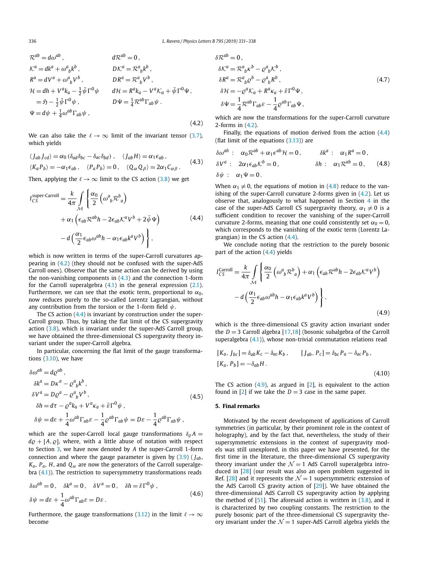$$
\mathcal{R}^{ab} = d\omega^{ab}, \qquad d\mathcal{R}^{ab} = 0,
$$
  
\n
$$
\mathcal{K}^{a} = dk^{a} + \omega^{a}{}_{b}k^{b}, \qquad D\mathcal{K}^{a} = \mathcal{R}^{a}{}_{b}k^{b},
$$
  
\n
$$
\mathcal{R}^{a} = dV^{a} + \omega^{a}{}_{b}V^{b}, \qquad D\mathcal{R}^{a} = \mathcal{R}^{a}{}_{b}V^{b},
$$
  
\n
$$
\mathcal{H} = dh + V^{a}k_{a} - \frac{1}{2}\bar{\psi}\Gamma^{0}\psi \qquad d\mathcal{H} = R^{a}k_{a} - V^{a}\mathcal{K}_{a} + \bar{\psi}\Gamma^{0}\Psi,
$$
  
\n
$$
= \mathfrak{H} - \frac{1}{2}\bar{\psi}\Gamma^{0}\psi, \qquad D\Psi = \frac{1}{4}\mathcal{R}^{ab}\Gamma_{ab}\psi.
$$
  
\n
$$
\Psi = d\psi + \frac{1}{4}\omega^{ab}\Gamma_{ab}\psi,
$$
  
\n(4.2)

We can also take the  $\ell \to \infty$  limit of the invariant tensor (3.7), which yields

$$
\langle J_{ab} J_{cd} \rangle = \alpha_0 \left( \delta_{ad} \delta_{bc} - \delta_{ac} \delta_{bd} \right), \quad \langle J_{ab} H \rangle = \alpha_1 \epsilon_{ab},
$$
  

$$
\langle K_a P_b \rangle = -\alpha_1 \epsilon_{ab}, \quad \langle P_a P_b \rangle = 0, \quad \langle Q_\alpha Q_\beta \rangle = 2\alpha_1 C_{\alpha\beta}.
$$
 (4.3)

Then, applying the  $\ell \to \infty$  limit to the CS action (3.8) we get

$$
I_{CS}^{\text{super-Carroll}} = \frac{k}{4\pi} \int_{\mathcal{M}} \left\{ \frac{\alpha_0}{2} \left( \omega^a{}_b \mathcal{R}^b{}_a \right) \right. \\ \left. + \alpha_1 \left( \epsilon_{ab} \mathcal{R}^{ab} h - 2\epsilon_{ab} \mathcal{K}^a V^b + 2\bar{\psi} \Psi \right) \right. \\ \left. - d \left( \frac{\alpha_1}{2} \epsilon_{ab} \omega^{ab} h - \alpha_1 \epsilon_{ab} k^a V^b \right) \right\}, \tag{4.4}
$$

which is now written in terms of the super-Carroll curvatures appearing in (4.2) (they should not be confused with the super-AdS Carroll ones). Observe that the same action can be derived by using the non-vanishing components in (4.3) and the connection 1-form for the Carroll superalgebra (4.1) in the general expression (2.1). Furthermore, we can see that the exotic term, proportional to  $\alpha_0$ , now reduces purely to the so-called Lorentz Lagrangian, without any contribution from the torsion or the 1-form field *ψ*.

The CS action (4.4) is invariant by construction under the super-Carroll group. Thus, by taking the flat limit of the CS supergravity action (3.8), which is invariant under the super-AdS Carroll group, we have obtained the three-dimensional CS supergravity theory invariant under the super-Carroll algebra.

In particular, concerning the flat limit of the gauge transformations (3.10), we have

$$
\delta\omega^{ab} = d\varrho^{ab} ,
$$
  
\n
$$
\delta k^{a} = D\kappa^{a} - \varrho^{a}{}_{b}k^{b} ,
$$
  
\n
$$
\delta V^{a} = D\varrho^{a} - \varrho^{a}{}_{b}V^{b} ,
$$
  
\n
$$
\delta h = d\tau - \varrho^{a}k_{a} + V^{a}\kappa_{a} + \bar{\varepsilon}\Gamma^{0}\psi ,
$$
  
\n
$$
\delta\psi = d\varepsilon + \frac{1}{4}\omega^{ab}\Gamma_{ab}\varepsilon - \frac{1}{4}\varrho^{ab}\Gamma_{ab}\psi = D\varepsilon - \frac{1}{4}\varrho^{ab}\Gamma_{ab}\psi ,
$$
\n(4.5)

which are the super-Carroll local gauge transformations  $\delta_{\varrho}A =$  $d\rho + [A, \rho]$ , where, with a little abuse of notation with respect to Section 3, we have now denoted by *A* the super-Carroll 1-form connection and where the gauge parameter is given by  $(3.9)$  ( $J_{ab}$ ,  $K_a$ ,  $P_a$ , *H*, and  $Q_\alpha$  are now the generators of the Carroll superalgebra (4.1)). The restriction to supersymmetry transformations reads

$$
\delta\omega^{ab} = 0, \quad \delta k^a = 0, \quad \delta V^a = 0, \quad \delta h = \bar{\varepsilon}\Gamma^0 \psi ,
$$
  

$$
\delta\psi = d\varepsilon + \frac{1}{4}\omega^{ab}\Gamma_{ab}\varepsilon = D\varepsilon .
$$
 (4.6)

Furthermore, the gauge transformations (3.12) in the limit  $\ell \to \infty$ become

 $\delta \mathcal{R}^{ab} = 0$ .

$$
\delta \mathcal{K}^{a} = \mathcal{R}^{a}_{ b} \kappa^{b} - \varrho^{a}_{ b} \mathcal{K}^{b} ,
$$
  
\n
$$
\delta R^{a} = \mathcal{R}^{a}_{ b} \varrho^{b} - \varrho^{a}_{ b} R^{b} ,
$$
  
\n
$$
\delta \mathcal{H} = -\varrho^{a} \mathcal{K}_{a} + R^{a} \kappa_{a} + \bar{\varepsilon} \Gamma^{0} \Psi ,
$$
  
\n
$$
\delta \Psi = \frac{1}{4} \mathcal{R}^{ab} \Gamma_{ab} \varepsilon - \frac{1}{4} \varrho^{ab} \Gamma_{ab} \Psi ,
$$
\n(4.7)

which are now the transformations for the super-Carroll curvature 2-forms in (4.2).

Finally, the equations of motion derived from the action (4.4) (flat limit of the equations  $(3.13)$ ) are

$$
\begin{aligned}\n\delta \omega^{ab} : \quad &\alpha_0 \mathcal{R}^{ab} + \alpha_1 \epsilon^{ab} \mathcal{H} = 0, & \delta k^a : \quad &\alpha_1 R^a = 0, \\
\delta V^a : \quad &2\alpha_1 \epsilon_{ab} \mathcal{K}^b = 0, & \delta h : \quad &\alpha_1 \mathcal{R}^{ab} = 0, \\
\delta \psi : \quad &\alpha_1 \Psi = 0.\n\end{aligned}
$$
\n(4.8)

When  $\alpha_1 \neq 0$ , the equations of motion in (4.8) reduce to the vanishing of the super-Carroll curvature 2-forms given in (4.2). Let us observe that, analogously to what happened in Section 4 in the case of the super-AdS Carroll CS supergravity theory,  $\alpha_1 \neq 0$  is a sufficient condition to recover the vanishing of the super-Carroll curvature 2-forms, meaning that one could consistently set  $\alpha_0 = 0$ , which corresponds to the vanishing of the exotic term (Lorentz Lagrangian) in the CS action (4.4).

We conclude noting that the restriction to the purely bosonic part of the action (4.4) yields

$$
I_{CS}^{\text{Carroll}} = \frac{k}{4\pi} \int_{\mathcal{M}} \left\{ \frac{\alpha_0}{2} \left( \omega^a{}_b \mathcal{R}^b{}_a \right) + \alpha_1 \left( \epsilon_{ab} \mathcal{R}^{ab} h - 2 \epsilon_{ab} \mathcal{K}^a V^b \right) \right. \\ - d \left( \frac{\alpha_1}{2} \epsilon_{ab} \omega^{ab} h - \alpha_1 \epsilon_{ab} k^a V^b \right) \right\}, \tag{4.9}
$$

which is the three-dimensional CS gravity action invariant under the  $D = 3$  Carroll algebra  $[17,18]$  (bosonic subalgebra of the Carroll superalgebra (4.1)), whose non-trivial commutation relations read

$$
[K_a, J_{bc}] = \delta_{ab} K_c - \delta_{ac} K_b, \qquad [J_{ab}, P_c] = \delta_{bc} P_a - \delta_{ac} P_b,
$$
  

$$
[K_a, P_b] = -\delta_{ab} H.
$$
 (4.10)

The CS action  $(4.9)$ , as argued in  $[2]$ , is equivalent to the action found in  $[2]$  if we take the  $D = 3$  case in the same paper.

### **5. Final remarks**

Motivated by the recent development of applications of Carroll symmetries (in particular, by their prominent role in the context of holography), and by the fact that, nevertheless, the study of their supersymmetric extensions in the context of supergravity models was still unexplored, in this paper we have presented, for the first time in the literature, the three-dimensional CS supergravity theory invariant under the  $\mathcal{N} = 1$  AdS Carroll superalgebra introduced in [28] (our result was also an open problem suggested in Ref. [28] and it represents the  $\mathcal{N}=1$  supersymmetric extension of the AdS Carroll CS gravity action of [29]). We have obtained the three-dimensional AdS Carroll CS supergravity action by applying the method of  $[51]$ . The aforesaid action is written in  $(3.8)$ , and it is characterized by two coupling constants. The restriction to the purely bosonic part of the three-dimensional CS supergravity theory invariant under the  $\mathcal{N} = 1$  super-AdS Carroll algebra yields the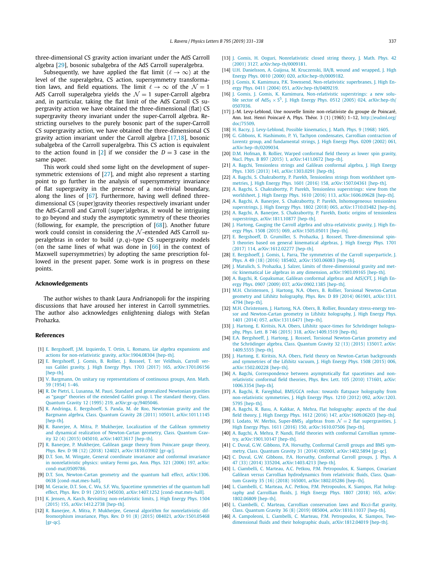three-dimensional CS gravity action invariant under the AdS Carroll algebra [29], bosonic subalgebra of the AdS Carroll superalgebra.

Subsequently, we have applied the flat limit  $(\ell \to \infty)$  at the level of the superalgebra, CS action, supersymmetry transformation laws, and field equations. The limit  $\ell \to \infty$  of the  $\mathcal{N} = 1$ AdS Carroll superalgebra yields the  $\mathcal{N}=1$  super-Carroll algebra and, in particular, taking the flat limit of the AdS Carroll CS supergravity action we have obtained the three-dimensional (flat) CS supergravity theory invariant under the super-Carroll algebra. Restricting ourselves to the purely bosonic part of the super-Carroll CS supergravity action, we have obtained the three-dimensional CS gravity action invariant under the Carroll algebra [17,18], bosonic subalgebra of the Carroll superalgebra. This CS action is equivalent to the action found in [2] if we consider the  $D = 3$  case in the same paper.

This work could shed some light on the development of supersymmetric extensions of [27], and might also represent a starting point to go further in the analysis of supersymmetry invariance of flat supergravity in the presence of a non-trivial boundary, along the lines of [67]. Furthermore, having well defined threedimensional CS (super)gravity theories respectively invariant under the AdS-Carroll and Carroll (super)algebras, it would be intriguing to go beyond and study the asymptotic symmetry of these theories (following, for example, the prescription of  $[68]$ ). Another future work could consist in considering the  $N$ -extended AdS Carroll superalgebras in order to build *(p, q)*-type CS supergravity models (on the same lines of what was done in  $[66]$  in the context of Maxwell supersymmetries) by adopting the same prescription followed in the present paper. Some work is in progress on these points.

#### **Acknowledgements**

The author wishes to thank Laura Andrianopoli for the inspiring discussions that have aroused her interest in Carroll symmetries. The author also acknowledges enlightening dialogs with Stefan Prohazka.

#### **References**

- [1] E. Bergshoeff, J.M. Izquierdo, T. Ortin, L. Romano, Lie algebra [expansions](http://refhub.elsevier.com/S0370-2693(19)30404-6/bib4265726773686F6566663A32303139637472s1) and actions for non-relativistic gravity, [arXiv:1904.08304 \[hep-th\].](http://refhub.elsevier.com/S0370-2693(19)30404-6/bib4265726773686F6566663A32303139637472s1)
- [2] E. [Bergshoeff,](http://refhub.elsevier.com/S0370-2693(19)30404-6/bib4265726773686F6566663A3230313762746Ds1) J. Gomis, B. Rollier, J. Rosseel, T. ter Veldhuis, Carroll versus Galilei gravity, J. High Energy Phys. 1703 (2017) 165, [arXiv:1701.06156](http://refhub.elsevier.com/S0370-2693(19)30404-6/bib4265726773686F6566663A3230313762746Ds1) [\[hep-th\].](http://refhub.elsevier.com/S0370-2693(19)30404-6/bib4265726773686F6566663A3230313762746Ds1)
- [3] V. Bargmann, On unitary ray [representations](http://refhub.elsevier.com/S0370-2693(19)30404-6/bib426172676D616E6Es1) of continuous groups, Ann. Math. 59 [\(1954\)](http://refhub.elsevier.com/S0370-2693(19)30404-6/bib426172676D616E6Es1) 1–46.
- [4] R. De Pietri, L. Lusanna, M. Pauri, Standard and [generalized](http://refhub.elsevier.com/S0370-2693(19)30404-6/bib44655069657472693A313939346A65s1) Newtonian gravities as "gauge" theories of the [extended](http://refhub.elsevier.com/S0370-2693(19)30404-6/bib44655069657472693A313939346A65s1) Galilei group. I. The standard theory, Class. Quantum Gravity 12 (1995) 219, [arXiv:gr-qc/9405046.](http://refhub.elsevier.com/S0370-2693(19)30404-6/bib44655069657472693A313939346A65s1)
- [5] R. Andringa, E. [Bergshoeff,](http://refhub.elsevier.com/S0370-2693(19)30404-6/bib416E6472696E67613A323031306974s1) S. Panda, M. de Roo, Newtonian gravity and the Bargmann algebra, Class. Quantum Gravity 28 (2011) 105011, [arXiv:1011.1145](http://refhub.elsevier.com/S0370-2693(19)30404-6/bib416E6472696E67613A323031306974s1) [\[hep-th\].](http://refhub.elsevier.com/S0370-2693(19)30404-6/bib416E6472696E67613A323031306974s1)
- [6] R. Banerjee, A. Mitra, P. Mukherjee, [Localization](http://refhub.elsevier.com/S0370-2693(19)30404-6/bib42616E65726A65653A323031346E6A61s1) of the Galilean symmetry and dynamical realization of [Newton-Cartan](http://refhub.elsevier.com/S0370-2693(19)30404-6/bib42616E65726A65653A323031346E6A61s1) geometry, Class. Quantum Gravity 32 (4) (2015) 045010, [arXiv:1407.3617 \[hep-th\].](http://refhub.elsevier.com/S0370-2693(19)30404-6/bib42616E65726A65653A323031346E6A61s1)
- [7] R. Banerjee, P. [Mukherjee,](http://refhub.elsevier.com/S0370-2693(19)30404-6/bib42616E65726A65653A3230313867717As1) Galilean gauge theory from Poincare gauge theory, Phys. Rev. D 98 (12) (2018) 124021, [arXiv:1810.03902 \[gr-qc\].](http://refhub.elsevier.com/S0370-2693(19)30404-6/bib42616E65726A65653A3230313867717As1)
- [8] D.T. Son, M. Wingate, General [coordinate](http://refhub.elsevier.com/S0370-2693(19)30404-6/bib536F6E3A323030357276s1) invariance and conformal invariance in [nonrelativistic](http://refhub.elsevier.com/S0370-2693(19)30404-6/bib536F6E3A323030357276s1) physics: unitary Fermi gas, Ann. Phys. 321 (2006) 197, arXiv: [cond-mat/0509786.](http://refhub.elsevier.com/S0370-2693(19)30404-6/bib536F6E3A323030357276s1)
- [9] D.T. Son, [Newton-Cartan](http://refhub.elsevier.com/S0370-2693(19)30404-6/bib536F6E3A32303133727161s1) geometry and the quantum hall effect, arXiv:1306. [0638 \[cond-mat.mes-hall\].](http://refhub.elsevier.com/S0370-2693(19)30404-6/bib536F6E3A32303133727161s1)
- [10] M. Geracie, D.T. Son, C. Wu, S.F. Wu, Spacetime [symmetries](http://refhub.elsevier.com/S0370-2693(19)30404-6/bib476572616369653A323031346E6B61s1) of the quantum hall effect, Phys. Rev. D 91 (2015) 045030, [arXiv:1407.1252 \[cond-mat.mes-hall\].](http://refhub.elsevier.com/S0370-2693(19)30404-6/bib476572616369653A323031346E6B61s1)
- [11] K. Jensen, A. Karch, Revisiting [non-relativistic](http://refhub.elsevier.com/S0370-2693(19)30404-6/bib4A656E73656E3A32303134776861s1) limits, J. High Energy Phys. 1504 (2015) 155, [arXiv:1412.2738 \[hep-th\].](http://refhub.elsevier.com/S0370-2693(19)30404-6/bib4A656E73656E3A32303134776861s1)
- [12] R. Banerjee, A. Mitra, P. Mukherjee, General algorithm for [nonrelativistic](http://refhub.elsevier.com/S0370-2693(19)30404-6/bib42616E65726A65653A32303135746761s1) diffeomorphism invariance, Phys. Rev. D 91 (8) (2015) 084021, [arXiv:1501.05468](http://refhub.elsevier.com/S0370-2693(19)30404-6/bib42616E65726A65653A32303135746761s1) [\[gr-qc\].](http://refhub.elsevier.com/S0370-2693(19)30404-6/bib42616E65726A65653A32303135746761s1)
- [13] J. Gomis, H. Ooguri, [Nonrelativistic](http://refhub.elsevier.com/S0370-2693(19)30404-6/bib476F6D69733A323030306264s1) closed string theory, J. Math. Phys. 42 (2001) 3127, [arXiv:hep-th/0009181.](http://refhub.elsevier.com/S0370-2693(19)30404-6/bib476F6D69733A323030306264s1)
- [14] U.H. Danielsson, A. Guijosa, M. [Kruczenski,](http://refhub.elsevier.com/S0370-2693(19)30404-6/bib44616E69656C73736F6E3A323030306769s1) IIA/B, wound and wrapped, J. High Energy Phys. 0010 (2000) 020, [arXiv:hep-th/0009182.](http://refhub.elsevier.com/S0370-2693(19)30404-6/bib44616E69656C73736F6E3A323030306769s1)
- [15] J. Gomis, K. Kamimura, P.K. Townsend, [Non-relativistic](http://refhub.elsevier.com/S0370-2693(19)30404-6/bib476F6D69733A323030347077s1) superbranes, J. High Energy Phys. 0411 (2004) 051, [arXiv:hep-th/0409219.](http://refhub.elsevier.com/S0370-2693(19)30404-6/bib476F6D69733A323030347077s1)
- [16] J. Gomis, J. Gomis, K. Kamimura, [Non-relativistic](http://refhub.elsevier.com/S0370-2693(19)30404-6/bib476F6D69733A323030357067s1) superstrings: a new soluble sector of  $AdS_5 \times S^5$ , J. High Energy Phys. 0512 (2005) 024, [arXiv:hep-th/](http://refhub.elsevier.com/S0370-2693(19)30404-6/bib476F6D69733A323030357067s1) [0507036.](http://refhub.elsevier.com/S0370-2693(19)30404-6/bib476F6D69733A323030357067s1)
- [17] J.-M. Levy-Leblond, Une nouvelle limite non-relativiste du groupe de Poincaré, Ann. Inst. Henri Poincaré A, Phys. Théor. 3 (1) (1965) 1–12, [http://eudml.org/](http://eudml.org/doc/75509) [doc/75509](http://eudml.org/doc/75509).
- [18] H. Bacry, J. [Levy-Leblond,](http://refhub.elsevier.com/S0370-2693(19)30404-6/bib42616372793A313936387A66s1) Possible kinematics, J. Math. Phys. 9 (1968) 1605.
- [19] G. Gibbons, K. Hashimoto, P. Yi, Tachyon [condensates,](http://refhub.elsevier.com/S0370-2693(19)30404-6/bib476962626F6E733A323030327476s1) Carrollian contraction of Lorentz group, and [fundamental](http://refhub.elsevier.com/S0370-2693(19)30404-6/bib476962626F6E733A323030327476s1) strings, J. High Energy Phys. 0209 (2002) 061, [arXiv:hep-th/0209034.](http://refhub.elsevier.com/S0370-2693(19)30404-6/bib476962626F6E733A323030327476s1)
- [20] D.M. Hofman, B. Rollier, Warped [conformal](http://refhub.elsevier.com/S0370-2693(19)30404-6/bib486F666D616E3A323031346C6F61s1) field theory as lower spin gravity, Nucl. Phys. B 897 (2015) 1, [arXiv:1411.0672 \[hep-th\].](http://refhub.elsevier.com/S0370-2693(19)30404-6/bib486F666D616E3A323031346C6F61s1)
- [21] A. Bagchi, [Tensionless](http://refhub.elsevier.com/S0370-2693(19)30404-6/bib4261676368693A32303133626761s1) strings and Galilean conformal algebra, J. High Energy Phys. 1305 (2013) 141, [arXiv:1303.0291 \[hep-th\].](http://refhub.elsevier.com/S0370-2693(19)30404-6/bib4261676368693A32303133626761s1)
- [22] A. Bagchi, S. [Chakrabortty,](http://refhub.elsevier.com/S0370-2693(19)30404-6/bib4261676368693A323031356E6361s1) P. Parekh, Tensionless strings from worldsheet symmetries, J. High Energy Phys. 1601 (2016) 158, [arXiv:1507.04361 \[hep-th\].](http://refhub.elsevier.com/S0370-2693(19)30404-6/bib4261676368693A323031356E6361s1)
- [23] A. Bagchi, S. [Chakrabortty,](http://refhub.elsevier.com/S0370-2693(19)30404-6/bib4261676368693A32303136797966s1) P. Parekh, Tensionless superstrings: view from the worldsheet, J. High Energy Phys. 1610 (2016) 113, [arXiv:1606.09628 \[hep-th\].](http://refhub.elsevier.com/S0370-2693(19)30404-6/bib4261676368693A32303136797966s1)
- [24] A. Bagchi, A. Banerjee, S. Chakrabortty, P. Parekh, [Inhomogeneous](http://refhub.elsevier.com/S0370-2693(19)30404-6/bib4261676368693A32303137637465s1) tensionless superstrings, J. High Energy Phys. 1802 (2018) 065, [arXiv:1710.03482 \[hep-th\].](http://refhub.elsevier.com/S0370-2693(19)30404-6/bib4261676368693A32303137637465s1)
- [25] A. Bagchi, A. Banerjee, S. [Chakrabortty,](http://refhub.elsevier.com/S0370-2693(19)30404-6/bib4261676368693A3230313877736Es1) P. Parekh, Exotic origins of tensionless superstrings, [arXiv:1811.10877 \[hep-th\].](http://refhub.elsevier.com/S0370-2693(19)30404-6/bib4261676368693A3230313877736Es1)
- [26] J. Hartong, Gauging the Carroll algebra and [ultra-relativistic](http://refhub.elsevier.com/S0370-2693(19)30404-6/bib486172746F6E673A32303135786461s1) gravity, J. High Energy Phys. 1508 (2015) 069, [arXiv:1505.05011 \[hep-th\].](http://refhub.elsevier.com/S0370-2693(19)30404-6/bib486172746F6E673A32303135786461s1)
- [27] E. Bergshoeff, D. Grumiller, S. Prohazka, J. Rosseel, [Three-dimensional](http://refhub.elsevier.com/S0370-2693(19)30404-6/bib4265726773686F6566663A32303136736F65s1) spin-3 theories based on general [kinematical](http://refhub.elsevier.com/S0370-2693(19)30404-6/bib4265726773686F6566663A32303136736F65s1) algebras, J. High Energy Phys. 1701 (2017) 114, [arXiv:1612.02277 \[hep-th\].](http://refhub.elsevier.com/S0370-2693(19)30404-6/bib4265726773686F6566663A32303136736F65s1)
- [28] E. Bergshoeff, J. Gomis, L. Parra, The symmetries of the Carroll [superparticle,](http://refhub.elsevier.com/S0370-2693(19)30404-6/bib4265726773686F6566663A32303135776D61s1) J. Phys. A 49 (18) (2016) 185402, [arXiv:1503.06083 \[hep-th\].](http://refhub.elsevier.com/S0370-2693(19)30404-6/bib4265726773686F6566663A32303135776D61s1)
- [29] J. Matulich, S. Prohazka, J. Salzer, Limits of [three-dimensional](http://refhub.elsevier.com/S0370-2693(19)30404-6/bib4D6174756C6963683A3230313963646Fs1) gravity and metric kinematical Lie algebras in any dimension, [arXiv:1903.09165 \[hep-th\].](http://refhub.elsevier.com/S0370-2693(19)30404-6/bib4D6174756C6963683A3230313963646Fs1)
- [30] A. Bagchi, R. [Gopakumar,](http://refhub.elsevier.com/S0370-2693(19)30404-6/bib4261676368693A323030396D79s1) Galilean conformal algebras and AdS/CFT, J. High Energy Phys. 0907 (2009) 037, [arXiv:0902.1385 \[hep-th\].](http://refhub.elsevier.com/S0370-2693(19)30404-6/bib4261676368693A323030396D79s1)
- [31] M.H. Christensen, J. Hartong, N.A. Obers, B. Rollier, Torsional [Newton-Cartan](http://refhub.elsevier.com/S0370-2693(19)30404-6/bib436872697374656E73656E3A323031336C6D61s1) geometry and Lifshitz [holography,](http://refhub.elsevier.com/S0370-2693(19)30404-6/bib436872697374656E73656E3A323031336C6D61s1) Phys. Rev. D 89 (2014) 061901, arXiv:1311. [4794 \[hep-th\].](http://refhub.elsevier.com/S0370-2693(19)30404-6/bib436872697374656E73656E3A323031336C6D61s1)
- [32] M.H. Christensen, J. Hartong, N.A. Obers, B. Rollier, Boundary [stress-energy](http://refhub.elsevier.com/S0370-2693(19)30404-6/bib436872697374656E73656E3A32303133726661s1) tensor and [Newton-Cartan](http://refhub.elsevier.com/S0370-2693(19)30404-6/bib436872697374656E73656E3A32303133726661s1) geometry in Lifshitz holography, J. High Energy Phys. 1401 (2014) 057, [arXiv:1311.6471 \[hep-th\].](http://refhub.elsevier.com/S0370-2693(19)30404-6/bib436872697374656E73656E3A32303133726661s1)
- [33] J. Hartong, E. Kiritsis, N.A. Obers, Lifshitz [space-times](http://refhub.elsevier.com/S0370-2693(19)30404-6/bib486172746F6E673A323031346F6D61s1) for Schrödinger holography, Phys. Lett. B 746 (2015) 318, [arXiv:1409.1519 \[hep-th\].](http://refhub.elsevier.com/S0370-2693(19)30404-6/bib486172746F6E673A323031346F6D61s1)
- [34] E.A. Bergshoeff, J. Hartong, J. Rosseel, Torsional [Newton-Cartan](http://refhub.elsevier.com/S0370-2693(19)30404-6/bib4265726773686F6566663A32303134756561s1) geometry and the [Schrödinger](http://refhub.elsevier.com/S0370-2693(19)30404-6/bib4265726773686F6566663A32303134756561s1) algebra, Class. Quantum Gravity 32 (13) (2015) 135017, arXiv: [1409.5555 \[hep-th\].](http://refhub.elsevier.com/S0370-2693(19)30404-6/bib4265726773686F6566663A32303134756561s1)
- [35] J. Hartong, E. Kiritsis, N.A. Obers, Field theory on [Newton-Cartan](http://refhub.elsevier.com/S0370-2693(19)30404-6/bib486172746F6E673A32303135777861s1) backgrounds and [symmetries](http://refhub.elsevier.com/S0370-2693(19)30404-6/bib486172746F6E673A32303135777861s1) of the Lifshitz vacuum, J. High Energy Phys. 1508 (2015) 006, [arXiv:1502.00228 \[hep-th\].](http://refhub.elsevier.com/S0370-2693(19)30404-6/bib486172746F6E673A32303135777861s1)
- [36] A. Bagchi, [Correspondence](http://refhub.elsevier.com/S0370-2693(19)30404-6/bib4261676368693A323031306567s1) between asymptotically flat spacetimes and non[relativistic](http://refhub.elsevier.com/S0370-2693(19)30404-6/bib4261676368693A323031306567s1) conformal field theories, Phys. Rev. Lett. 105 (2010) 171601, arXiv: [1006.3354 \[hep-th\].](http://refhub.elsevier.com/S0370-2693(19)30404-6/bib4261676368693A323031306567s1)
- [37] A. Bagchi, R. Fareghbal, BMS/GCA redux: towards flatspace [holography](http://refhub.elsevier.com/S0370-2693(19)30404-6/bib4261676368693A323031326379s1) from [non-relativistic](http://refhub.elsevier.com/S0370-2693(19)30404-6/bib4261676368693A323031326379s1) symmetries, J. High Energy Phys. 1210 (2012) 092, arXiv:1203. [5795 \[hep-th\].](http://refhub.elsevier.com/S0370-2693(19)30404-6/bib4261676368693A323031326379s1)
- [38] A. Bagchi, R. Basu, A. Kakkar, A. Mehra, Flat [holography:](http://refhub.elsevier.com/S0370-2693(19)30404-6/bib4261676368693A32303136626364s1) aspects of the dual field theory, J. High Energy Phys. 1612 (2016) 147, [arXiv:1609.06203 \[hep-th\].](http://refhub.elsevier.com/S0370-2693(19)30404-6/bib4261676368693A32303136626364s1)
- [39] I. Lodato, W. Merbis, Super-BMS<sub>3</sub> algebras from  $\mathcal{N}=2$  flat [supergravities,](http://refhub.elsevier.com/S0370-2693(19)30404-6/bib4C6F6461746F3A32303136616C76s1) J. High Energy Phys. 1611 (2016) 150, [arXiv:1610.07506 \[hep-th\].](http://refhub.elsevier.com/S0370-2693(19)30404-6/bib4C6F6461746F3A32303136616C76s1)
- [40] A. Bagchi, A. Mehra, P. Nandi, Field theories with [conformal](http://refhub.elsevier.com/S0370-2693(19)30404-6/bib4261676368693A32303139786678s1) Carrollian symmetry, [arXiv:1901.10147 \[hep-th\].](http://refhub.elsevier.com/S0370-2693(19)30404-6/bib4261676368693A32303139786678s1)
- [41] C. Duval, G.W. Gibbons, P.A. Horvathy, [Conformal](http://refhub.elsevier.com/S0370-2693(19)30404-6/bib447576616C3A32303134757661s1) Carroll groups and BMS symmetry, Class. Quantum Gravity 31 (2014) 092001, [arXiv:1402.5894 \[gr-qc\].](http://refhub.elsevier.com/S0370-2693(19)30404-6/bib447576616C3A32303134757661s1)
- [42] C. Duval, G.W. Gibbons, P.A. Horvathy, [Conformal](http://refhub.elsevier.com/S0370-2693(19)30404-6/bib447576616C3A323031346C7061s1) Carroll groups, J. Phys. A 47 (33) (2014) 335204, [arXiv:1403.4213 \[hep-th\].](http://refhub.elsevier.com/S0370-2693(19)30404-6/bib447576616C3A323031346C7061s1)
- [43] L. Ciambelli, C. Marteau, A.C. Petkou, P.M. [Petropoulos,](http://refhub.elsevier.com/S0370-2693(19)30404-6/bib4369616D62656C6C693A32303138786174s1) K. Siampos, Covariant Galilean versus Carrollian [hydrodynamics](http://refhub.elsevier.com/S0370-2693(19)30404-6/bib4369616D62656C6C693A32303138786174s1) from relativistic fluids, Class. Quantum Gravity 35 (16) (2018) 165001, [arXiv:1802.05286 \[hep-th\].](http://refhub.elsevier.com/S0370-2693(19)30404-6/bib4369616D62656C6C693A32303138786174s1)
- [44] L. Ciambelli, C. Marteau, A.C. Petkou, P.M. [Petropoulos,](http://refhub.elsevier.com/S0370-2693(19)30404-6/bib4369616D62656C6C693A32303138777265s1) K. Siampos, Flat holography and [Carrollian](http://refhub.elsevier.com/S0370-2693(19)30404-6/bib4369616D62656C6C693A32303138777265s1) fluids, J. High Energy Phys. 1807 (2018) 165, arXiv: [1802.06809 \[hep-th\].](http://refhub.elsevier.com/S0370-2693(19)30404-6/bib4369616D62656C6C693A32303138777265s1)
- [45] L. Ciambelli, C. Marteau, Carrollian [conservation](http://refhub.elsevier.com/S0370-2693(19)30404-6/bib4369616D62656C6C693A323031386F6A66s1) laws and Ricci-flat gravity, Class. Quantum Gravity 36 (8) (2019) 085004, [arXiv:1810.11037 \[hep-th\].](http://refhub.elsevier.com/S0370-2693(19)30404-6/bib4369616D62656C6C693A323031386F6A66s1)
- [46] A. [Campoleoni,](http://refhub.elsevier.com/S0370-2693(19)30404-6/bib43616D706F6C656F6E693A323031386C746Cs1) L. Ciambelli, C. Marteau, P.M. Petropoulos, K. Siampos, Twodimensional fluids and their holographic duals, [arXiv:1812.04019 \[hep-th\].](http://refhub.elsevier.com/S0370-2693(19)30404-6/bib43616D706F6C656F6E693A323031386C746Cs1)